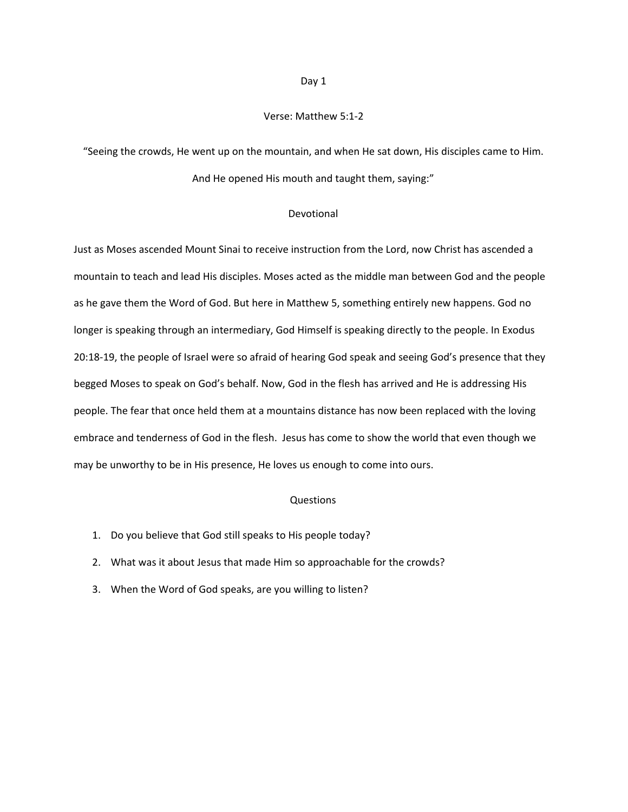#### Verse: Matthew 5:1-2

"Seeing the crowds, He went up on the mountain, and when He sat down, His disciples came to Him. And He opened His mouth and taught them, saying:"

#### Devotional

Just as Moses ascended Mount Sinai to receive instruction from the Lord, now Christ has ascended a mountain to teach and lead His disciples. Moses acted as the middle man between God and the people as he gave them the Word of God. But here in Matthew 5, something entirely new happens. God no longer is speaking through an intermediary, God Himself is speaking directly to the people. In Exodus 20:18-19, the people of Israel were so afraid of hearing God speak and seeing God's presence that they begged Moses to speak on God's behalf. Now, God in the flesh has arrived and He is addressing His people. The fear that once held them at a mountains distance has now been replaced with the loving embrace and tenderness of God in the flesh. Jesus has come to show the world that even though we may be unworthy to be in His presence, He loves us enough to come into ours.

#### Questions

- 1. Do you believe that God still speaks to His people today?
- 2. What was it about Jesus that made Him so approachable for the crowds?
- 3. When the Word of God speaks, are you willing to listen?

#### Day 1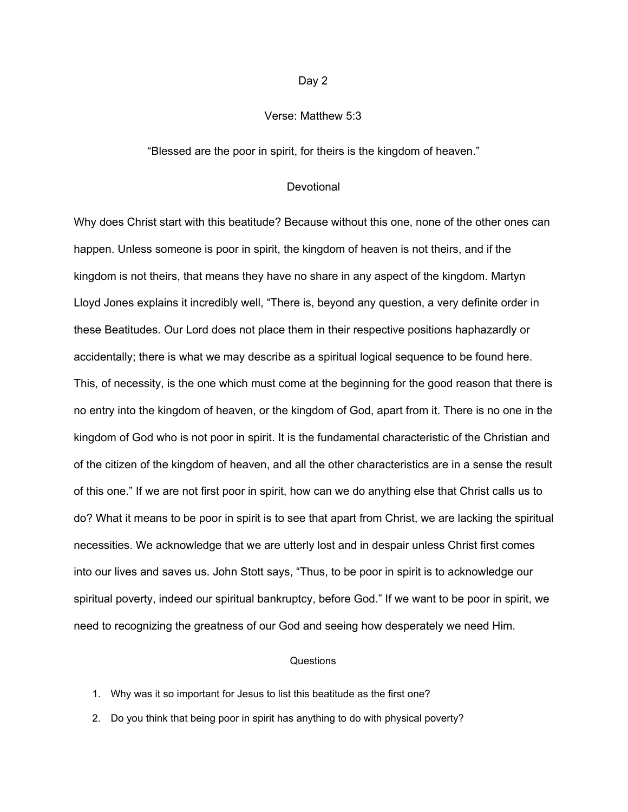# Verse: Matthew 5:3

"Blessed are the poor in spirit, for theirs is the kingdom of heaven."

## **Devotional**

Why does Christ start with this beatitude? Because without this one, none of the other ones can happen. Unless someone is poor in spirit, the kingdom of heaven is not theirs, and if the kingdom is not theirs, that means they have no share in any aspect of the kingdom. Martyn Lloyd Jones explains it incredibly well, "There is, beyond any question, a very definite order in these Beatitudes. Our Lord does not place them in their respective positions haphazardly or accidentally; there is what we may describe as a spiritual logical sequence to be found here. This, of necessity, is the one which must come at the beginning for the good reason that there is no entry into the kingdom of heaven, or the kingdom of God, apart from it. There is no one in the kingdom of God who is not poor in spirit. It is the fundamental characteristic of the Christian and of the citizen of the kingdom of heaven, and all the other characteristics are in a sense the result of this one." If we are not first poor in spirit, how can we do anything else that Christ calls us to do? What it means to be poor in spirit is to see that apart from Christ, we are lacking the spiritual necessities. We acknowledge that we are utterly lost and in despair unless Christ first comes into our lives and saves us. John Stott says, "Thus, to be poor in spirit is to acknowledge our spiritual poverty, indeed our spiritual bankruptcy, before God." If we want to be poor in spirit, we need to recognizing the greatness of our God and seeing how desperately we need Him.

- 1. Why was it so important for Jesus to list this beatitude as the first one?
- 2. Do you think that being poor in spirit has anything to do with physical poverty?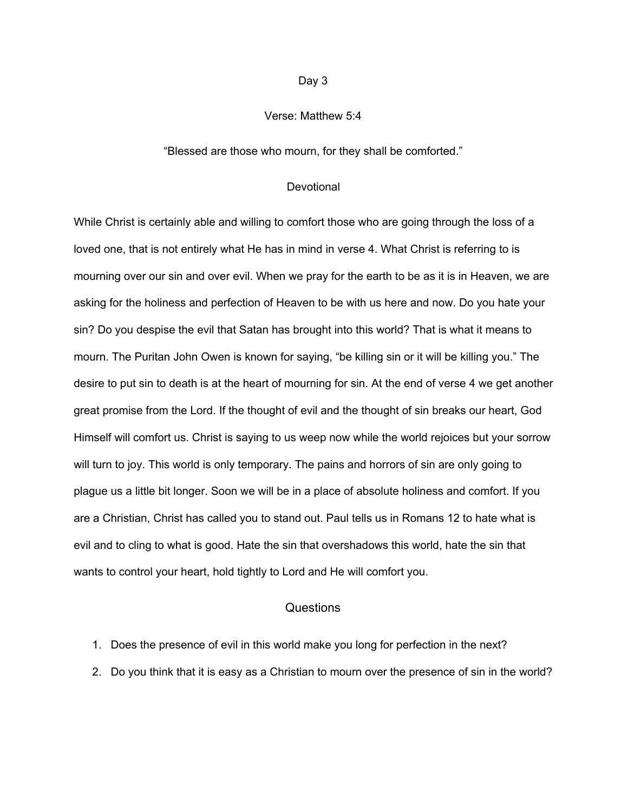# Verse: Matthew 5:4

## "Blessed are those who mourn, for they shall be comforted."

## **Devotional**

While Christ is certainly able and willing to comfort those who are going through the loss of a loved one, that is not entirely what He has in mind in verse 4. What Christ is referring to is mourning over our sin and over evil. When we pray for the earth to be as it is in Heaven, we are asking for the holiness and perfection of Heaven to be with us here and now. Do you hate your sin? Do you despise the evil that Satan has brought into this world? That is what it means to mourn. The Puritan John Owen is known for saying, "be killing sin or it will be killing you." The desire to put sin to death is at the heart of mourning for sin. At the end of verse 4 we get another great promise from the Lord. If the thought of evil and the thought of sin breaks our heart, God Himself will comfort us. Christ is saying to us weep now while the world rejoices but your sorrow will turn to joy. This world is only temporary. The pains and horrors of sin are only going to plague us a little bit longer. Soon we will be in a place of absolute holiness and comfort. If you are a Christian, Christ has called you to stand out. Paul tells us in Romans 12 to hate what is evil and to cling to what is good. Hate the sin that overshadows this world, hate the sin that wants to control your heart, hold tightly to Lord and He will comfort you.

- 1. Does the presence of evil in this world make you long for perfection in the next?
- 2. Do you think that it is easy as a Christian to mourn over the presence of sin in the world?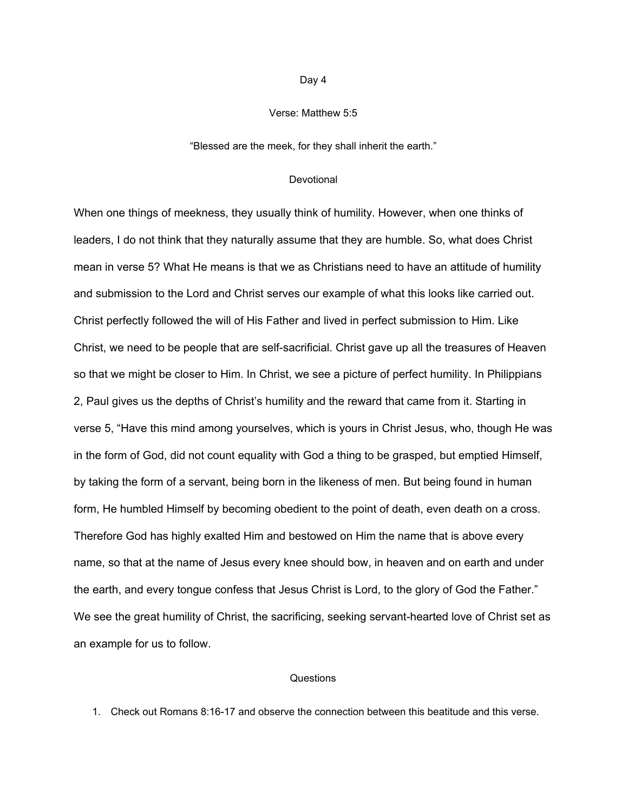## Verse: Matthew 5:5

## "Blessed are the meek, for they shall inherit the earth."

### **Devotional**

When one things of meekness, they usually think of humility. However, when one thinks of leaders, I do not think that they naturally assume that they are humble. So, what does Christ mean in verse 5? What He means is that we as Christians need to have an attitude of humility and submission to the Lord and Christ serves our example of what this looks like carried out. Christ perfectly followed the will of His Father and lived in perfect submission to Him. Like Christ, we need to be people that are self-sacrificial. Christ gave up all the treasures of Heaven so that we might be closer to Him. In Christ, we see a picture of perfect humility. In Philippians 2, Paul gives us the depths of Christ's humility and the reward that came from it. Starting in verse 5, "Have this mind among yourselves, which is yours in Christ Jesus, who, though He was in the form of God, did not count equality with God a thing to be grasped, but emptied Himself, by taking the form of a servant, being born in the likeness of men. But being found in human form, He humbled Himself by becoming obedient to the point of death, even death on a cross. Therefore God has highly exalted Him and bestowed on Him the name that is above every name, so that at the name of Jesus every knee should bow, in heaven and on earth and under the earth, and every tongue confess that Jesus Christ is Lord, to the glory of God the Father." We see the great humility of Christ, the sacrificing, seeking servant-hearted love of Christ set as an example for us to follow.

# Questions

1. Check out Romans 8:16-17 and observe the connection between this beatitude and this verse.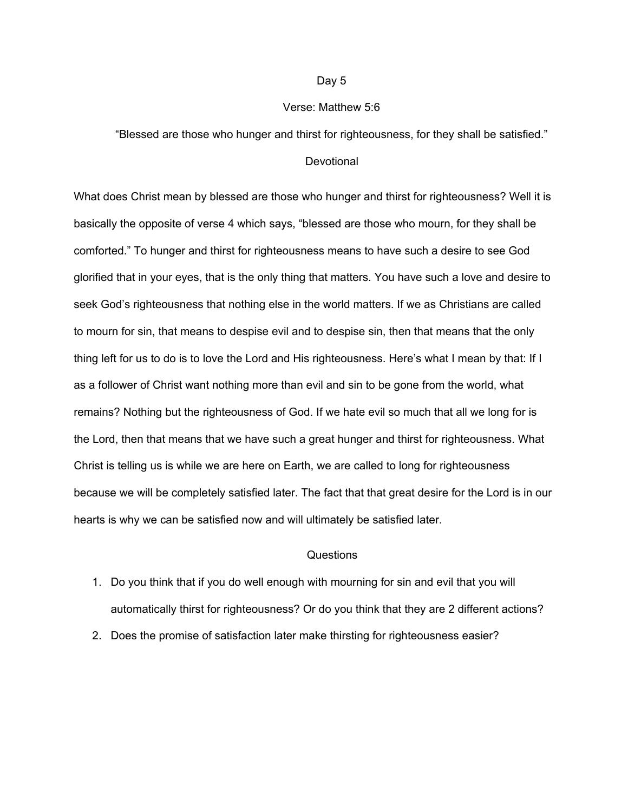## Verse: Matthew 5:6

## "Blessed are those who hunger and thirst for righteousness, for they shall be satisfied."

## **Devotional**

What does Christ mean by blessed are those who hunger and thirst for righteousness? Well it is basically the opposite of verse 4 which says, "blessed are those who mourn, for they shall be comforted." To hunger and thirst for righteousness means to have such a desire to see God glorified that in your eyes, that is the only thing that matters. You have such a love and desire to seek God's righteousness that nothing else in the world matters. If we as Christians are called to mourn for sin, that means to despise evil and to despise sin, then that means that the only thing left for us to do is to love the Lord and His righteousness. Here's what I mean by that: If I as a follower of Christ want nothing more than evil and sin to be gone from the world, what remains? Nothing but the righteousness of God. If we hate evil so much that all we long for is the Lord, then that means that we have such a great hunger and thirst for righteousness. What Christ is telling us is while we are here on Earth, we are called to long for righteousness because we will be completely satisfied later. The fact that that great desire for the Lord is in our hearts is why we can be satisfied now and will ultimately be satisfied later.

- 1. Do you think that if you do well enough with mourning for sin and evil that you will automatically thirst for righteousness? Or do you think that they are 2 different actions?
- 2. Does the promise of satisfaction later make thirsting for righteousness easier?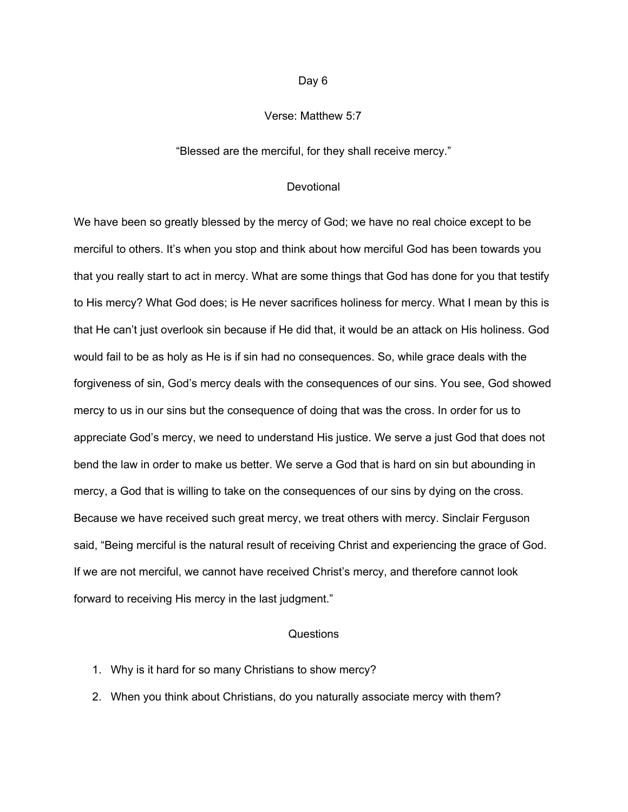# Verse: Matthew 5:7

"Blessed are the merciful, for they shall receive mercy."

## **Devotional**

We have been so greatly blessed by the mercy of God; we have no real choice except to be merciful to others. It's when you stop and think about how merciful God has been towards you that you really start to act in mercy. What are some things that God has done for you that testify to His mercy? What God does; is He never sacrifices holiness for mercy. What I mean by this is that He can't just overlook sin because if He did that, it would be an attack on His holiness. God would fail to be as holy as He is if sin had no consequences. So, while grace deals with the forgiveness of sin, God's mercy deals with the consequences of our sins. You see, God showed mercy to us in our sins but the consequence of doing that was the cross. In order for us to appreciate God's mercy, we need to understand His justice. We serve a just God that does not bend the law in order to make us better. We serve a God that is hard on sin but abounding in mercy, a God that is willing to take on the consequences of our sins by dying on the cross. Because we have received such great mercy, we treat others with mercy. Sinclair Ferguson said, "Being merciful is the natural result of receiving Christ and experiencing the grace of God. If we are not merciful, we cannot have received Christ's mercy, and therefore cannot look forward to receiving His mercy in the last judgment."

- 1. Why is it hard for so many Christians to show mercy?
- 2. When you think about Christians, do you naturally associate mercy with them?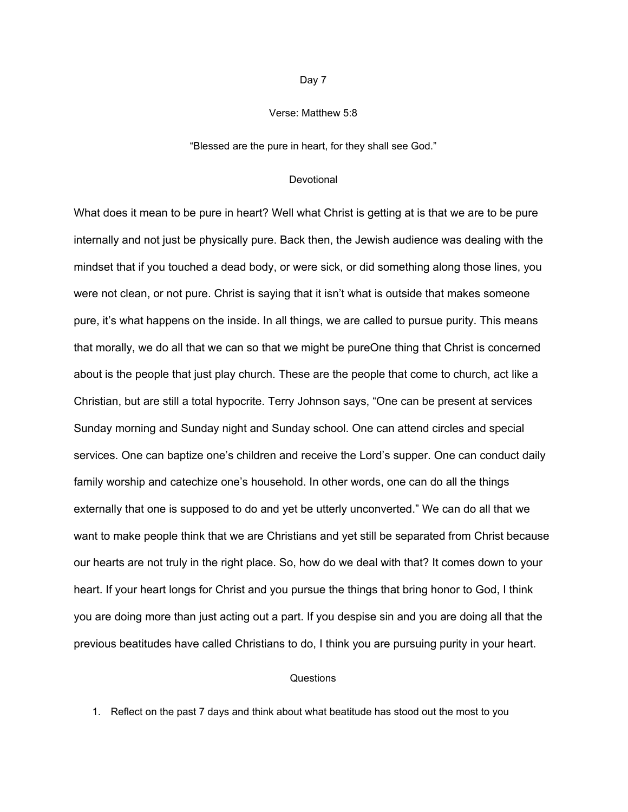## Verse: Matthew 5:8

"Blessed are the pure in heart, for they shall see God."

### Devotional

What does it mean to be pure in heart? Well what Christ is getting at is that we are to be pure internally and not just be physically pure. Back then, the Jewish audience was dealing with the mindset that if you touched a dead body, or were sick, or did something along those lines, you were not clean, or not pure. Christ is saying that it isn't what is outside that makes someone pure, it's what happens on the inside. In all things, we are called to pursue purity. This means that morally, we do all that we can so that we might be pureOne thing that Christ is concerned about is the people that just play church. These are the people that come to church, act like a Christian, but are still a total hypocrite. Terry Johnson says, "One can be present at services Sunday morning and Sunday night and Sunday school. One can attend circles and special services. One can baptize one's children and receive the Lord's supper. One can conduct daily family worship and catechize one's household. In other words, one can do all the things externally that one is supposed to do and yet be utterly unconverted." We can do all that we want to make people think that we are Christians and yet still be separated from Christ because our hearts are not truly in the right place. So, how do we deal with that? It comes down to your heart. If your heart longs for Christ and you pursue the things that bring honor to God, I think you are doing more than just acting out a part. If you despise sin and you are doing all that the previous beatitudes have called Christians to do, I think you are pursuing purity in your heart.

## Questions

1. Reflect on the past 7 days and think about what beatitude has stood out the most to you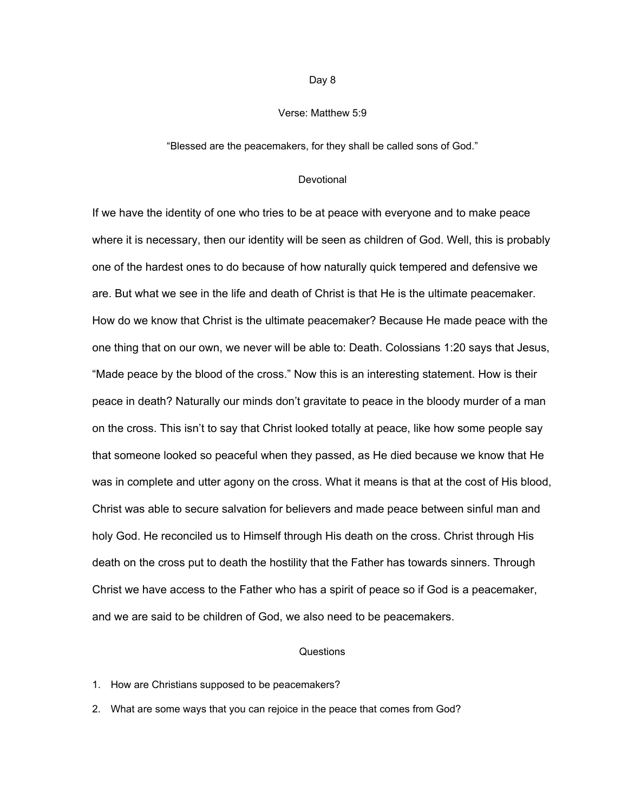## Verse: Matthew 5:9

### "Blessed are the peacemakers, for they shall be called sons of God."

### Devotional

If we have the identity of one who tries to be at peace with everyone and to make peace where it is necessary, then our identity will be seen as children of God. Well, this is probably one of the hardest ones to do because of how naturally quick tempered and defensive we are. But what we see in the life and death of Christ is that He is the ultimate peacemaker. How do we know that Christ is the ultimate peacemaker? Because He made peace with the one thing that on our own, we never will be able to: Death. Colossians 1:20 says that Jesus, "Made peace by the blood of the cross." Now this is an interesting statement. How is their peace in death? Naturally our minds don't gravitate to peace in the bloody murder of a man on the cross. This isn't to say that Christ looked totally at peace, like how some people say that someone looked so peaceful when they passed, as He died because we know that He was in complete and utter agony on the cross. What it means is that at the cost of His blood, Christ was able to secure salvation for believers and made peace between sinful man and holy God. He reconciled us to Himself through His death on the cross. Christ through His death on the cross put to death the hostility that the Father has towards sinners. Through Christ we have access to the Father who has a spirit of peace so if God is a peacemaker, and we are said to be children of God, we also need to be peacemakers.

#### Questions

### 1. How are Christians supposed to be peacemakers?

2. What are some ways that you can rejoice in the peace that comes from God?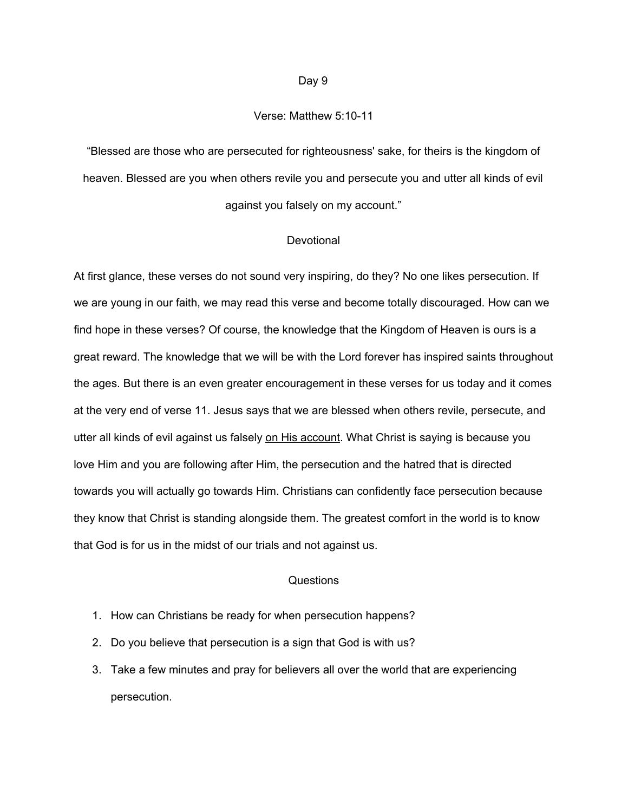## Verse: Matthew 5:10-11

"Blessed are those who are persecuted for righteousness' sake, for theirs is the kingdom of heaven. Blessed are you when others revile you and persecute you and utter all kinds of evil against you falsely on my account."

### Devotional

At first glance, these verses do not sound very inspiring, do they? No one likes persecution. If we are young in our faith, we may read this verse and become totally discouraged. How can we find hope in these verses? Of course, the knowledge that the Kingdom of Heaven is ours is a great reward. The knowledge that we will be with the Lord forever has inspired saints throughout the ages. But there is an even greater encouragement in these verses for us today and it comes at the very end of verse 11. Jesus says that we are blessed when others revile, persecute, and utter all kinds of evil against us falsely on His account. What Christ is saying is because you love Him and you are following after Him, the persecution and the hatred that is directed towards you will actually go towards Him. Christians can confidently face persecution because they know that Christ is standing alongside them. The greatest comfort in the world is to know that God is for us in the midst of our trials and not against us.

- 1. How can Christians be ready for when persecution happens?
- 2. Do you believe that persecution is a sign that God is with us?
- 3. Take a few minutes and pray for believers all over the world that are experiencing persecution.